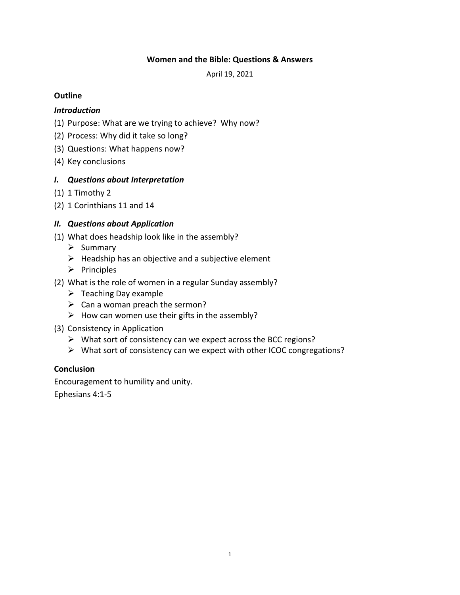#### **Women and the Bible: Questions & Answers**

April 19, 2021

#### **Outline**

#### *Introduction*

- (1) Purpose: What are we trying to achieve? Why now?
- (2) Process: Why did it take so long?
- (3) Questions: What happens now?
- (4) Key conclusions

### *I. Questions about Interpretation*

- (1) 1 Timothy 2
- (2) 1 Corinthians 11 and 14

### *II. Questions about Application*

- (1) What does headship look like in the assembly?
	- $\triangleright$  Summary
	- $\triangleright$  Headship has an objective and a subjective element
	- $\triangleright$  Principles
- (2) What is the role of women in a regular Sunday assembly?
	- $\triangleright$  Teaching Day example
	- $\triangleright$  Can a woman preach the sermon?
	- $\triangleright$  How can women use their gifts in the assembly?
- (3) Consistency in Application
	- $\triangleright$  What sort of consistency can we expect across the BCC regions?
	- $\triangleright$  What sort of consistency can we expect with other ICOC congregations?

#### **Conclusion**

Encouragement to humility and unity.

Ephesians 4:1-5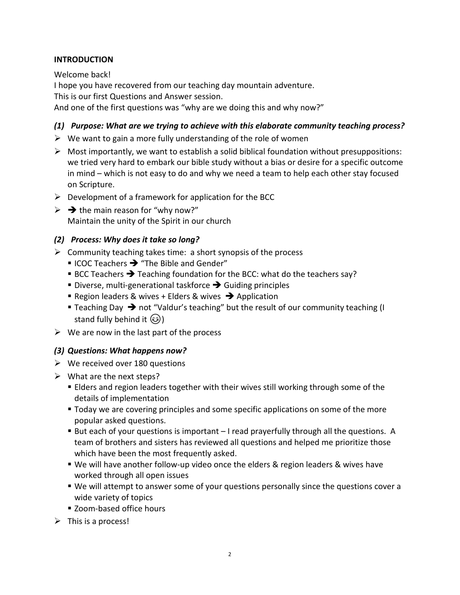### **INTRODUCTION**

Welcome back! I hope you have recovered from our teaching day mountain adventure. This is our first Questions and Answer session. And one of the first questions was "why are we doing this and why now?"

# *(1) Purpose: What are we trying to achieve with this elaborate community teaching process?*

- $\triangleright$  We want to gain a more fully understanding of the role of women
- $\triangleright$  Most importantly, we want to establish a solid biblical foundation without presuppositions: we tried very hard to embark our bible study without a bias or desire for a specific outcome in mind – which is not easy to do and why we need a team to help each other stay focused on Scripture.
- $\triangleright$  Development of a framework for application for the BCC
- $\triangleright$   $\rightarrow$  the main reason for "why now?" Maintain the unity of the Spirit in our church

### *(2) Process: Why does it take so long?*

- $\triangleright$  Community teaching takes time: a short synopsis of the process
	- $\blacksquare$  ICOC Teachers  $\rightarrow$  "The Bible and Gender"
	- **BCC Teachers**  $\rightarrow$  **Teaching foundation for the BCC: what do the teachers say?**
	- Diverse, multi-generational taskforce  $\rightarrow$  Guiding principles
	- Region leaders & wives + Elders & wives  $\rightarrow$  Application
	- **Teaching Day**  $\rightarrow$  **not "Valdur's teaching" but the result of our community teaching (I** stand fully behind it  $\mathcal{B}$ )
- $\triangleright$  We are now in the last part of the process

### *(3) Questions: What happens now?*

- $\triangleright$  We received over 180 questions
- $\triangleright$  What are the next steps?
	- Elders and region leaders together with their wives still working through some of the details of implementation
	- Today we are covering principles and some specific applications on some of the more popular asked questions.
	- But each of your questions is important I read prayerfully through all the questions. A team of brothers and sisters has reviewed all questions and helped me prioritize those which have been the most frequently asked.
	- We will have another follow-up video once the elders & region leaders & wives have worked through all open issues
	- We will attempt to answer some of your questions personally since the questions cover a wide variety of topics
	- Zoom-based office hours
- $\triangleright$  This is a process!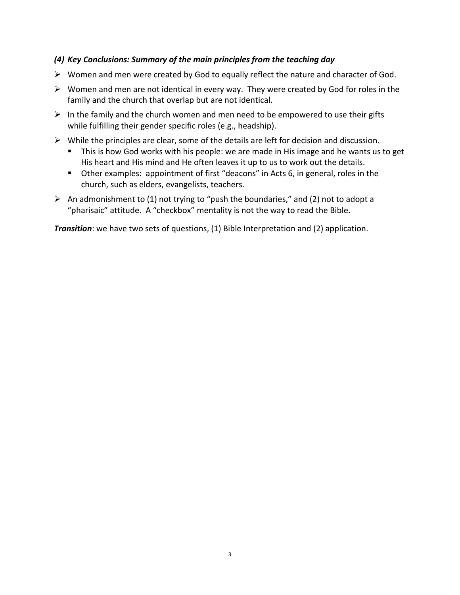### *(4) Key Conclusions: Summary of the main principles from the teaching day*

- $\triangleright$  Women and men were created by God to equally reflect the nature and character of God.
- $\triangleright$  Women and men are not identical in every way. They were created by God for roles in the family and the church that overlap but are not identical.
- $\triangleright$  In the family and the church women and men need to be empowered to use their gifts while fulfilling their gender specific roles (e.g., headship).
- $\triangleright$  While the principles are clear, some of the details are left for decision and discussion.
	- This is how God works with his people: we are made in His image and he wants us to get His heart and His mind and He often leaves it up to us to work out the details.
	- Other examples: appointment of first "deacons" in Acts 6, in general, roles in the church, such as elders, evangelists, teachers.
- $\triangleright$  An admonishment to (1) not trying to "push the boundaries," and (2) not to adopt a "pharisaic" attitude. A "checkbox" mentality is not the way to read the Bible.

**Transition**: we have two sets of questions, (1) Bible Interpretation and (2) application.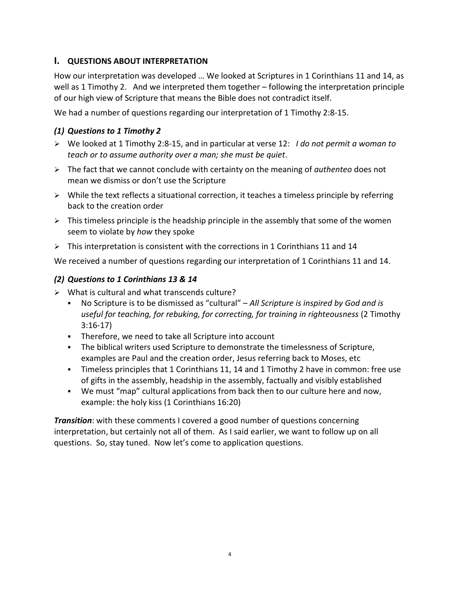# **I. QUESTIONS ABOUT INTERPRETATION**

How our interpretation was developed … We looked at Scriptures in 1 Corinthians 11 and 14, as well as 1 Timothy 2. And we interpreted them together – following the interpretation principle of our high view of Scripture that means the Bible does not contradict itself.

We had a number of questions regarding our interpretation of 1 Timothy 2:8-15.

## *(1) Questions to 1 Timothy 2*

- We looked at 1 Timothy 2:8-15, and in particular at verse 12: *I do not permit a woman to teach or to assume authority over a man; she must be quiet*.
- The fact that we cannot conclude with certainty on the meaning of *authenteo* does not mean we dismiss or don't use the Scripture
- $\triangleright$  While the text reflects a situational correction, it teaches a timeless principle by referring back to the creation order
- $\triangleright$  This timeless principle is the headship principle in the assembly that some of the women seem to violate by *how* they spoke
- $\triangleright$  This interpretation is consistent with the corrections in 1 Corinthians 11 and 14

We received a number of questions regarding our interpretation of 1 Corinthians 11 and 14.

# *(2) Questions to 1 Corinthians 13 & 14*

- $\triangleright$  What is cultural and what transcends culture?
	- No Scripture is to be dismissed as "cultural" *All Scripture is inspired by God and is useful for teaching, for rebuking, for correcting, for training in righteousness* (2 Timothy 3:16-17)
	- Therefore, we need to take all Scripture into account
	- The biblical writers used Scripture to demonstrate the timelessness of Scripture, examples are Paul and the creation order, Jesus referring back to Moses, etc
	- Timeless principles that 1 Corinthians 11, 14 and 1 Timothy 2 have in common: free use of gifts in the assembly, headship in the assembly, factually and visibly established
	- We must "map" cultural applications from back then to our culture here and now, example: the holy kiss (1 Corinthians 16:20)

*Transition*: with these comments I covered a good number of questions concerning interpretation, but certainly not all of them. As I said earlier, we want to follow up on all questions. So, stay tuned. Now let's come to application questions.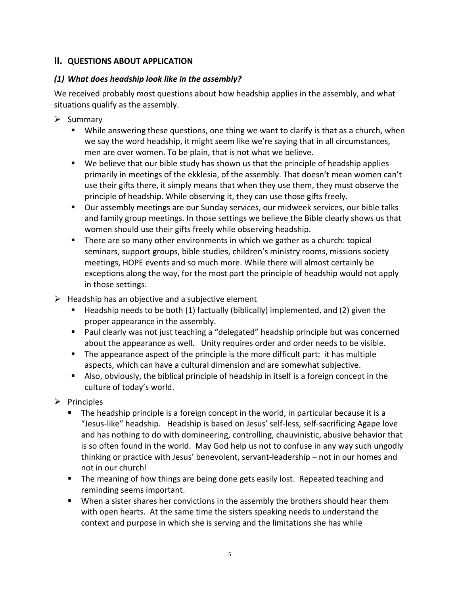# **II. QUESTIONS ABOUT APPLICATION**

## *(1) What does headship look like in the assembly?*

We received probably most questions about how headship applies in the assembly, and what situations qualify as the assembly.

- $\triangleright$  Summary
	- While answering these questions, one thing we want to clarify is that as a church, when we say the word headship, it might seem like we're saying that in all circumstances, men are over women. To be plain, that is not what we believe.
	- We believe that our bible study has shown us that the principle of headship applies primarily in meetings of the ekklesia, of the assembly. That doesn't mean women can't use their gifts there, it simply means that when they use them, they must observe the principle of headship. While observing it, they can use those gifts freely.
	- Our assembly meetings are our Sunday services, our midweek services, our bible talks and family group meetings. In those settings we believe the Bible clearly shows us that women should use their gifts freely while observing headship.
	- There are so many other environments in which we gather as a church: topical seminars, support groups, bible studies, children's ministry rooms, missions society meetings, HOPE events and so much more. While there will almost certainly be exceptions along the way, for the most part the principle of headship would not apply in those settings.
- $\triangleright$  Headship has an objective and a subjective element
	- Headship needs to be both (1) factually (biblically) implemented, and (2) given the proper appearance in the assembly.
	- Paul clearly was not just teaching a "delegated" headship principle but was concerned about the appearance as well. Unity requires order and order needs to be visible.
	- The appearance aspect of the principle is the more difficult part: it has multiple aspects, which can have a cultural dimension and are somewhat subjective.
	- Also, obviously, the biblical principle of headship in itself is a foreign concept in the culture of today's world.
- $\triangleright$  Principles
	- **The headship principle is a foreign concept in the world, in particular because it is a** "Jesus-like" headship. Headship is based on Jesus' self-less, self-sacrificing Agape love and has nothing to do with domineering, controlling, chauvinistic, abusive behavior that is so often found in the world. May God help us not to confuse in any way such ungodly thinking or practice with Jesus' benevolent, servant-leadership – not in our homes and not in our church!
	- **The meaning of how things are being done gets easily lost. Repeated teaching and** reminding seems important.
	- When a sister shares her convictions in the assembly the brothers should hear them with open hearts. At the same time the sisters speaking needs to understand the context and purpose in which she is serving and the limitations she has while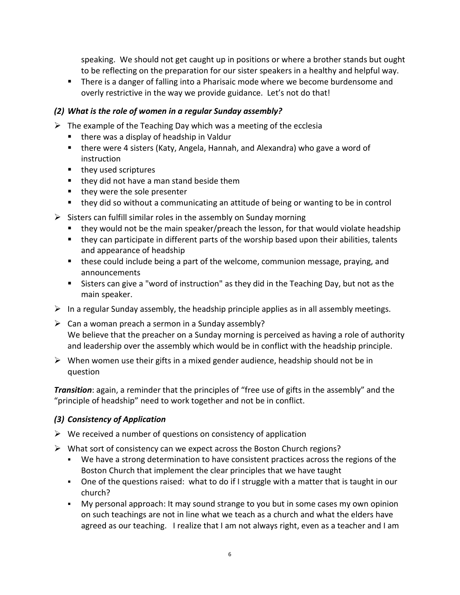speaking. We should not get caught up in positions or where a brother stands but ought to be reflecting on the preparation for our sister speakers in a healthy and helpful way.

**There is a danger of falling into a Pharisaic mode where we become burdensome and** overly restrictive in the way we provide guidance. Let's not do that!

## *(2) What is the role of women in a regular Sunday assembly?*

- $\triangleright$  The example of the Teaching Day which was a meeting of the ecclesia
	- $\blacksquare$  there was a display of headship in Valdur
	- there were 4 sisters (Katy, Angela, Hannah, and Alexandra) who gave a word of instruction
	- they used scriptures
	- $\blacksquare$  they did not have a man stand beside them
	- $\blacksquare$  they were the sole presenter
	- they did so without a communicating an attitude of being or wanting to be in control
- $\triangleright$  Sisters can fulfill similar roles in the assembly on Sunday morning
	- they would not be the main speaker/preach the lesson, for that would violate headship
	- they can participate in different parts of the worship based upon their abilities, talents and appearance of headship
	- these could include being a part of the welcome, communion message, praying, and announcements
	- Sisters can give a "word of instruction" as they did in the Teaching Day, but not as the main speaker.
- $\triangleright$  In a regular Sunday assembly, the headship principle applies as in all assembly meetings.
- $\triangleright$  Can a woman preach a sermon in a Sunday assembly? We believe that the preacher on a Sunday morning is perceived as having a role of authority and leadership over the assembly which would be in conflict with the headship principle.
- $\triangleright$  When women use their gifts in a mixed gender audience, headship should not be in question

*Transition*: again, a reminder that the principles of "free use of gifts in the assembly" and the "principle of headship" need to work together and not be in conflict.

# *(3) Consistency of Application*

- $\triangleright$  We received a number of questions on consistency of application
- $\triangleright$  What sort of consistency can we expect across the Boston Church regions?
	- We have a strong determination to have consistent practices across the regions of the Boston Church that implement the clear principles that we have taught
	- One of the questions raised: what to do if I struggle with a matter that is taught in our church?
	- My personal approach: It may sound strange to you but in some cases my own opinion on such teachings are not in line what we teach as a church and what the elders have agreed as our teaching. I realize that I am not always right, even as a teacher and I am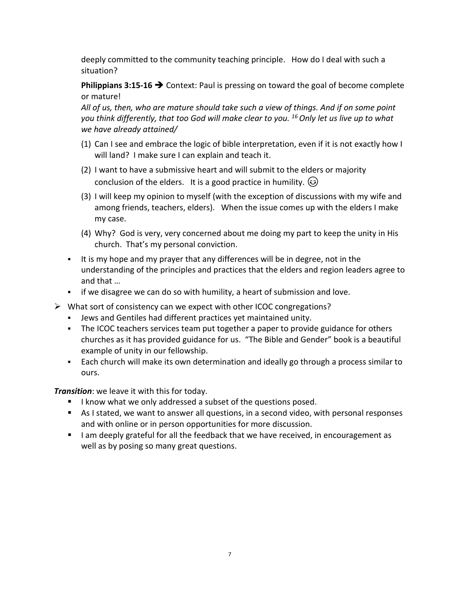deeply committed to the community teaching principle. How do I deal with such a situation?

**Philippians 3:15-16 → Context: Paul is pressing on toward the goal of become complete** or mature!

*All of us, then, who are mature should take such a view of things. And if on some point*  you think differently, that too God will make clear to you. <sup>16</sup> Only let us live up to what *we have already attained/*

- (1) Can I see and embrace the logic of bible interpretation, even if it is not exactly how I will land? I make sure I can explain and teach it.
- (2) I want to have a submissive heart and will submit to the elders or majority conclusion of the elders. It is a good practice in humility.  $\circled{e}$
- (3) I will keep my opinion to myself (with the exception of discussions with my wife and among friends, teachers, elders). When the issue comes up with the elders I make my case.
- (4) Why? God is very, very concerned about me doing my part to keep the unity in His church. That's my personal conviction.
- It is my hope and my prayer that any differences will be in degree, not in the understanding of the principles and practices that the elders and region leaders agree to and that …
- if we disagree we can do so with humility, a heart of submission and love.
- What sort of consistency can we expect with other ICOC congregations?
	- Jews and Gentiles had different practices yet maintained unity.
	- The ICOC teachers services team put together a paper to provide guidance for others churches as it has provided guidance for us. "The Bible and Gender" book is a beautiful example of unity in our fellowship.
	- Each church will make its own determination and ideally go through a process similar to ours.

*Transition*: we leave it with this for today.

- I know what we only addressed a subset of the questions posed.
- As I stated, we want to answer all questions, in a second video, with personal responses and with online or in person opportunities for more discussion.
- I am deeply grateful for all the feedback that we have received, in encouragement as well as by posing so many great questions.